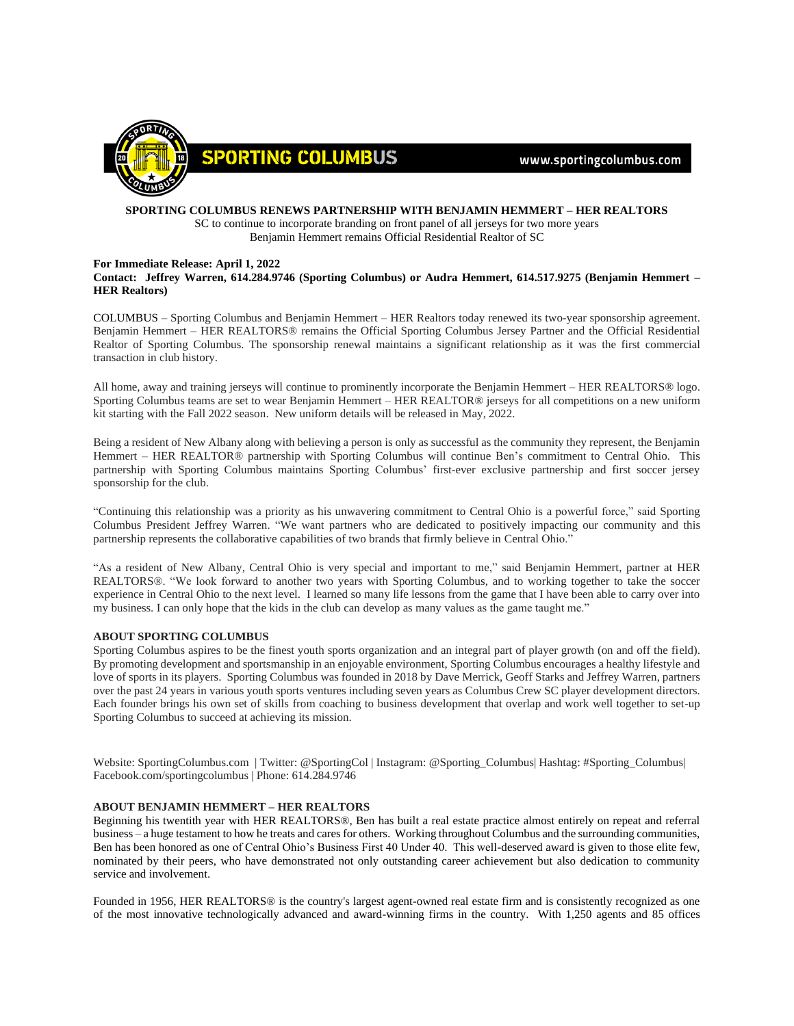

www.sportingcolumbus.com

## **SPORTING COLUMBUS RENEWS PARTNERSHIP WITH BENJAMIN HEMMERT – HER REALTORS** SC to continue to incorporate branding on front panel of all jerseys for two more years Benjamin Hemmert remains Official Residential Realtor of SC

## **For Immediate Release: April 1, 2022 Contact: Jeffrey Warren, 614.284.9746 (Sporting Columbus) or Audra Hemmert, 614.517.9275 (Benjamin Hemmert – HER Realtors)**

COLUMBUS – Sporting Columbus and Benjamin Hemmert – HER Realtors today renewed its two-year sponsorship agreement. Benjamin Hemmert – HER REALTORS® remains the Official Sporting Columbus Jersey Partner and the Official Residential Realtor of Sporting Columbus. The sponsorship renewal maintains a significant relationship as it was the first commercial transaction in club history.

All home, away and training jerseys will continue to prominently incorporate the Benjamin Hemmert – HER REALTORS® logo. Sporting Columbus teams are set to wear Benjamin Hemmert – HER REALTOR® jerseys for all competitions on a new uniform kit starting with the Fall 2022 season. New uniform details will be released in May, 2022.

Being a resident of New Albany along with believing a person is only as successful as the community they represent, the Benjamin Hemmert – HER REALTOR® partnership with Sporting Columbus will continue Ben's commitment to Central Ohio. This partnership with Sporting Columbus maintains Sporting Columbus' first-ever exclusive partnership and first soccer jersey sponsorship for the club.

"Continuing this relationship was a priority as his unwavering commitment to Central Ohio is a powerful force," said Sporting Columbus President Jeffrey Warren. "We want partners who are dedicated to positively impacting our community and this partnership represents the collaborative capabilities of two brands that firmly believe in Central Ohio."

"As a resident of New Albany, Central Ohio is very special and important to me," said Benjamin Hemmert, partner at HER REALTORS®. "We look forward to another two years with Sporting Columbus, and to working together to take the soccer experience in Central Ohio to the next level. I learned so many life lessons from the game that I have been able to carry over into my business. I can only hope that the kids in the club can develop as many values as the game taught me."

## **ABOUT SPORTING COLUMBUS**

Sporting Columbus aspires to be the finest youth sports organization and an integral part of player growth (on and off the field). By promoting development and sportsmanship in an enjoyable environment, Sporting Columbus encourages a healthy lifestyle and love of sports in its players. Sporting Columbus was founded in 2018 by Dave Merrick, Geoff Starks and Jeffrey Warren, partners over the past 24 years in various youth sports ventures including seven years as Columbus Crew SC player development directors. Each founder brings his own set of skills from coaching to business development that overlap and work well together to set-up Sporting Columbus to succeed at achieving its mission.

Website: SportingColumbus.com | Twitter: @SportingCol | Instagram: @Sporting\_Columbus| Hashtag: #Sporting\_Columbus| Facebook.com/sportingcolumbus | Phone: 614.284.9746

## **ABOUT BENJAMIN HEMMERT – HER REALTORS**

Beginning his twentith year with HER REALTORS®, Ben has built a real estate practice almost entirely on repeat and referral business – a huge testament to how he treats and cares for others. Working throughout Columbus and the surrounding communities, Ben has been honored as one of Central Ohio's Business First 40 Under 40. This well-deserved award is given to those elite few, nominated by their peers, who have demonstrated not only outstanding career achievement but also dedication to community service and involvement.

Founded in 1956, HER REALTORS® is the country's largest agent-owned real estate firm and is consistently recognized as one of the most innovative technologically advanced and award-winning firms in the country. With 1,250 agents and 85 offices